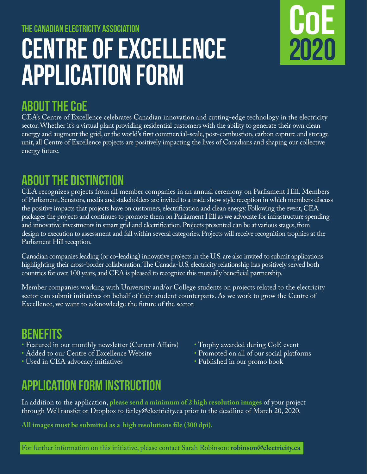# **The Canadian Electricity Association Centre of Excellence Application Form**

## **About the COE**

CEA's Centre of Excellence celebrates Canadian innovation and cutting-edge technology in the electricity sector. Whether it's a virtual plant providing residential customers with the ability to generate their own clean energy and augment the grid, or the world's first commercial-scale, post-combustion, carbon capture and storage unit, all Centre of Excellence projects are positively impacting the lives of Canadians and shaping our collective energy future.

### **About the Distinction**

CEA recognizes projects from all member companies in an annual ceremony on Parliament Hill. Members of Parliament, Senators, media and stakeholders are invited to a trade show style reception in which members discuss the positive impacts that projects have on customers, electrification and clean energy. Following the event, CEA packages the projects and continues to promote them on Parliament Hill as we advocate for infrastructure spending and innovative investments in smart grid and electrification. Projects presented can be at various stages, from design to execution to assessment and fall within several categories. Projects will receive recognition trophies at the Parliament Hill reception.

Canadian companies leading (or co-leading) innovative projects in the U.S. are also invited to submit applications highlighting their cross-border collaboration. The Canada-U.S. electricity relationship has positively served both countries for over 100 years, and  $CE\overline{A}$  is pleased to recognize this mutually beneficial partnership.

Member companies working with University and/or College students on projects related to the electricity sector can submit initiatives on behalf of their student counterparts. As we work to grow the Centre of Excellence, we want to acknowledge the future of the sector.

#### **benefits**

- Featured in our monthly newsletter (Current Affairs) Trophy awarded during CoE event<br>• Added to our Centre of Excellence Website Promoted on all of our social platfo
- 
- Used in CEA advocacy initiatives
- 
- Promoted on all of our social platforms<br>• Published in our promo book

**COE**

**2020**

### **application form instruction**

In addition to the application, **please send a minimum of 2 high resolution images** of your project through WeTransfer or Dropbox to farley@electricity.ca prior to the deadline of March 20, 2020.

**All images must be submited as a high resolutions file (300 dpi).**

For further information on this initiative, please contact Sarah Robinson: **robinson@electricity.ca**